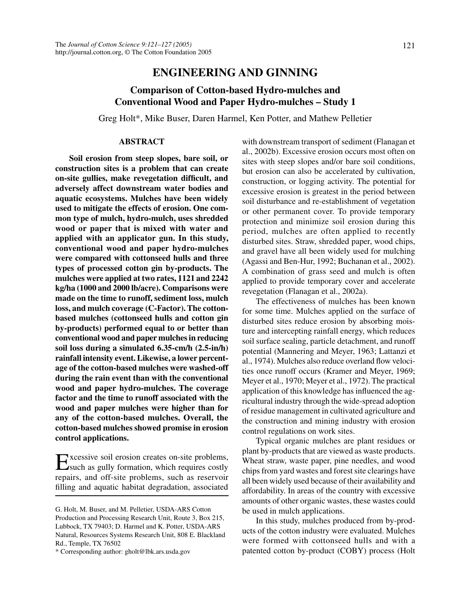# **ENGINEERING AND GINNING**

# **Comparison of Cotton-based Hydro-mulches and Conventional Wood and Paper Hydro-mulches – Study 1**

Greg Holt\*, Mike Buser, Daren Harmel, Ken Potter, and Mathew Pelletier

# **ABSTRACT**

**Soil erosion from steep slopes, bare soil, or construction sites is a problem that can create on-site gullies, make revegetation difficult, and adversely affect downstream water bodies and aquatic ecosystems. Mulches have been widely used to mitigate the effects of erosion. One common type of mulch, hydro-mulch, uses shredded wood or paper that is mixed with water and applied with an applicator gun. In this study, conventional wood and paper hydro-mulches were compared with cottonseed hulls and three types of processed cotton gin by-products. The mulches were applied at two rates, 1121 and 2242 kg/ha (1000 and 2000 lb/acre). Comparisons were made on the time to runoff, sediment loss, mulch loss, and mulch coverage (C-Factor). The cottonbased mulches (cottonseed hulls and cotton gin by-products) performed equal to or better than conventional wood and paper mulches in reducing soil loss during a simulated 6.35-cm/h (2.5-in/h) rainfall intensity event. Likewise, a lower percentage of the cotton-based mulches were washed-off during the rain event than with the conventional wood and paper hydro-mulches. The coverage factor and the time to runoff associated with the wood and paper mulches were higher than for any of the cotton-based mulches. Overall, the cotton-based mulches showed promise in erosion control applications.**

Excessive soil erosion creates on-site problems, such as gully formation, which requires costly repairs, and off-site problems, such as reservoir filling and aquatic habitat degradation, associated

\* Corresponding author: gholt@lbk.ars.usda.gov

with downstream transport of sediment (Flanagan et al., 2002b). Excessive erosion occurs most often on sites with steep slopes and/or bare soil conditions, but erosion can also be accelerated by cultivation, construction, or logging activity. The potential for excessive erosion is greatest in the period between soil disturbance and re-establishment of vegetation or other permanent cover. To provide temporary protection and minimize soil erosion during this period, mulches are often applied to recently disturbed sites. Straw, shredded paper, wood chips, and gravel have all been widely used for mulching (Agassi and Ben-Hur, 1992; Buchanan et al., 2002). A combination of grass seed and mulch is often applied to provide temporary cover and accelerate revegetation (Flanagan et al., 2002a).

The effectiveness of mulches has been known for some time. Mulches applied on the surface of disturbed sites reduce erosion by absorbing moisture and intercepting rainfall energy, which reduces soil surface sealing, particle detachment, and runoff potential (Mannering and Meyer, 1963; Lattanzi et al., 1974). Mulches also reduce overland flow velocities once runoff occurs (Kramer and Meyer, 1969; Meyer et al., 1970; Meyer et al., 1972). The practical application of this knowledge has influenced the agricultural industry through the wide-spread adoption of residue management in cultivated agriculture and the construction and mining industry with erosion control regulations on work sites.

Typical organic mulches are plant residues or plant by-products that are viewed as waste products. Wheat straw, waste paper, pine needles, and wood chips from yard wastes and forest site clearings have all been widely used because of their availability and affordability. In areas of the country with excessive amounts of other organic wastes, these wastes could be used in mulch applications.

In this study, mulches produced from by-products of the cotton industry were evaluated. Mulches were formed with cottonseed hulls and with a patented cotton by-product (COBY) process (Holt

G. Holt, M. Buser, and M. Pelletier, USDA-ARS Cotton Production and Processing Research Unit, Route 3, Box 215, Lubbock, TX 79403; D. Harmel and K. Potter, USDA-ARS Natural, Resources Systems Research Unit, 808 E. Blackland Rd., Temple, TX 76502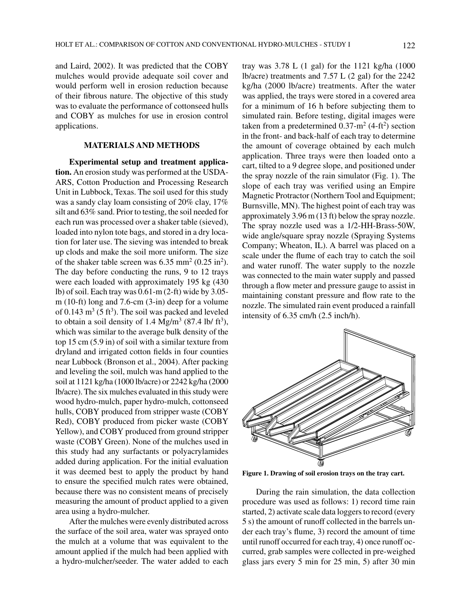and Laird, 2002). It was predicted that the COBY mulches would provide adequate soil cover and would perform well in erosion reduction because of their fibrous nature. The objective of this study was to evaluate the performance of cottonseed hulls and COBY as mulches for use in erosion control applications.

# **MATERIALS AND METHODS**

**Experimental setup and treatment application.** An erosion study was performed at the USDA-ARS, Cotton Production and Processing Research Unit in Lubbock, Texas. The soil used for this study was a sandy clay loam consisting of 20% clay, 17% silt and 63% sand. Prior to testing, the soil needed for each run was processed over a shaker table (sieved), loaded into nylon tote bags, and stored in a dry location for later use. The sieving was intended to break up clods and make the soil more uniform. The size of the shaker table screen was  $6.35$  mm<sup>2</sup> ( $0.25$  in<sup>2</sup>). The day before conducting the runs, 9 to 12 trays were each loaded with approximately 195 kg (430 lb) of soil. Each tray was 0.61-m (2-ft) wide by 3.05 m (10-ft) long and 7.6-cm (3-in) deep for a volume of 0.143  $\text{m}^3$  (5 ft<sup>3</sup>). The soil was packed and leveled to obtain a soil density of 1.4 Mg/m<sup>3</sup> (87.4 lb/ ft<sup>3</sup>), which was similar to the average bulk density of the top 15 cm (5.9 in) of soil with a similar texture from dryland and irrigated cotton fields in four counties near Lubbock (Bronson et al., 2004). After packing and leveling the soil, mulch was hand applied to the soil at 1121 kg/ha (1000 lb/acre) or 2242 kg/ha (2000 lb/acre). The six mulches evaluated in this study were wood hydro-mulch, paper hydro-mulch, cottonseed hulls, COBY produced from stripper waste (COBY Red), COBY produced from picker waste (COBY Yellow), and COBY produced from ground stripper waste (COBY Green). None of the mulches used in this study had any surfactants or polyacrylamides added during application. For the initial evaluation it was deemed best to apply the product by hand to ensure the specified mulch rates were obtained, because there was no consistent means of precisely measuring the amount of product applied to a given area using a hydro-mulcher.

After the mulches were evenly distributed across the surface of the soil area, water was sprayed onto the mulch at a volume that was equivalent to the amount applied if the mulch had been applied with a hydro-mulcher/seeder. The water added to each tray was 3.78 L (1 gal) for the 1121 kg/ha (1000 lb/acre) treatments and 7.57 L (2 gal) for the 2242 kg/ha (2000 lb/acre) treatments. After the water was applied, the trays were stored in a covered area for a minimum of 16 h before subjecting them to simulated rain. Before testing, digital images were taken from a predetermined  $0.37$ -m<sup>2</sup> (4-ft<sup>2</sup>) section in the front- and back-half of each tray to determine the amount of coverage obtained by each mulch application. Three trays were then loaded onto a cart, tilted to a 9 degree slope, and positioned under the spray nozzle of the rain simulator (Fig. 1). The slope of each tray was verified using an Empire Magnetic Protractor (Northern Tool and Equipment; Burnsville, MN). The highest point of each tray was approximately 3.96 m (13 ft) below the spray nozzle. The spray nozzle used was a 1/2-HH-Brass-50W, wide angle/square spray nozzle (Spraying Systems Company; Wheaton, IL). A barrel was placed on a scale under the flume of each tray to catch the soil and water runoff. The water supply to the nozzle was connected to the main water supply and passed through a flow meter and pressure gauge to assist in maintaining constant pressure and flow rate to the nozzle. The simulated rain event produced a rainfall intensity of 6.35 cm/h (2.5 inch/h).



**Figure 1. Drawing of soil erosion trays on the tray cart.**

During the rain simulation, the data collection procedure was used as follows: 1) record time rain started, 2) activate scale data loggers to record (every 5 s) the amount of runoff collected in the barrels under each tray's flume, 3) record the amount of time until runoff occurred for each tray, 4) once runoff occurred, grab samples were collected in pre-weighed glass jars every 5 min for 25 min, 5) after 30 min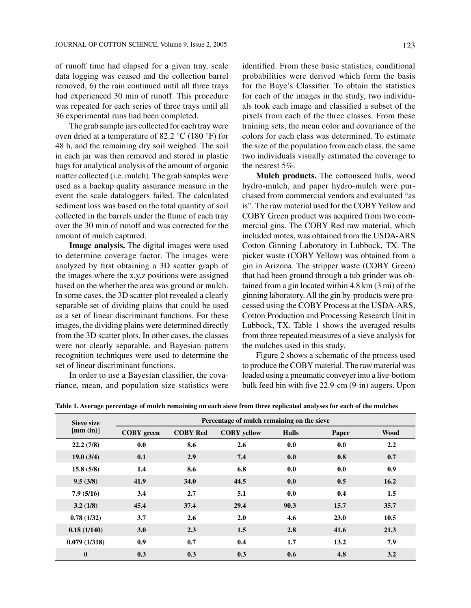of runoff time had elapsed for a given tray, scale data logging was ceased and the collection barrel removed, 6) the rain continued until all three trays had experienced 30 min of runoff. This procedure was repeated for each series of three trays until all 36 experimental runs had been completed.

The grab sample jars collected for each tray were oven dried at a temperature of 82.2 °C (180 °F) for 48 h, and the remaining dry soil weighed. The soil in each jar was then removed and stored in plastic bags for analytical analysis of the amount of organic matter collected (i.e. mulch). The grab samples were used as a backup quality assurance measure in the event the scale dataloggers failed. The calculated sediment loss was based on the total quantity of soil collected in the barrels under the flume of each tray over the 30 min of runoff and was corrected for the amount of mulch captured.

**Image analysis.** The digital images were used to determine coverage factor. The images were analyzed by first obtaining a 3D scatter graph of the images where the x,y,z positions were assigned based on the whether the area was ground or mulch. In some cases, the 3D scatter-plot revealed a clearly separable set of dividing plains that could be used as a set of linear discriminant functions. For these images, the dividing plains were determined directly from the 3D scatter plots. In other cases, the classes were not clearly separable, and Bayesian pattern recognition techniques were used to determine the set of linear discriminant functions.

In order to use a Bayesian classifier, the covariance, mean, and population size statistics were identified. From these basic statistics, conditional probabilities were derived which form the basis for the Baye's Classifier. To obtain the statistics for each of the images in the study, two individuals took each image and classified a subset of the pixels from each of the three classes. From these training sets, the mean color and covariance of the colors for each class was determined. To estimate the size of the population from each class, the same two individuals visually estimated the coverage to the nearest 5%.

**Mulch products.** The cottonseed hulls, wood hydro-mulch, and paper hydro-mulch were purchased from commercial vendors and evaluated "as is". The raw material used for the COBY Yellow and COBY Green product was acquired from two commercial gins. The COBY Red raw material, which included motes, was obtained from the USDA-ARS Cotton Ginning Laboratory in Lubbock, TX. The picker waste (COBY Yellow) was obtained from a gin in Arizona. The stripper waste (COBY Green) that had been ground through a tub grinder was obtained from a gin located within 4.8 km (3 mi) of the ginning laboratory. All the gin by-products were processed using the COBY Process at the USDA-ARS, Cotton Production and Processing Research Unit in Lubbock, TX. Table 1 shows the averaged results from three repeated measures of a sieve analysis for the mulches used in this study.

Figure 2 shows a schematic of the process used to produce the COBY material. The raw material was loaded using a pneumatic conveyer into a live-bottom bulk feed bin with five 22.9-cm (9-in) augers. Upon

| <b>Sieve size</b><br>[mm (in)] | Percentage of mulch remaining on the sieve |                 |                    |              |       |             |
|--------------------------------|--------------------------------------------|-----------------|--------------------|--------------|-------|-------------|
|                                | <b>COBY</b> green                          | <b>COBY Red</b> | <b>COBY</b> yellow | <b>Hulls</b> | Paper | <b>Wood</b> |
| 22.2(7/8)                      | 0.0                                        | 8.6             | 2.6                | 0.0          | 0.0   | 2.2         |
| 19.0(3/4)                      | 0.1                                        | 2.9             | 7.4                | 0.0          | 0.8   | 0.7         |
| 15.8(5/8)                      | 1.4                                        | 8.6             | 6.8                | 0.0          | 0.0   | 0.9         |
| 9.5(3/8)                       | 41.9                                       | 34.0            | 44.5               | 0.0          | 0.5   | 16.2        |
| 7.9(5/16)                      | 3.4                                        | 2.7             | 5.1                | 0.0          | 0.4   | 1.5         |
| 3.2(1/8)                       | 45.4                                       | 37.4            | 29.4               | 90.3         | 15.7  | 35.7        |
| 0.78(1/32)                     | 3.7                                        | 2.6             | 2.0                | 4.6          | 23.0  | 10.5        |
| 0.18(1/140)                    | 3.0                                        | 2.3             | 1.5                | 2.8          | 41.6  | 21.3        |
| 0.079(1/318)                   | 0.9                                        | 0.7             | 0.4                | 1.7          | 13.2  | 7.9         |
| $\bf{0}$                       | 0.3                                        | 0.3             | 0.3                | 0.6          | 4.8   | 3.2         |

**Table 1. Average percentage of mulch remaining on each sieve from three replicated analyses for each of the mulches**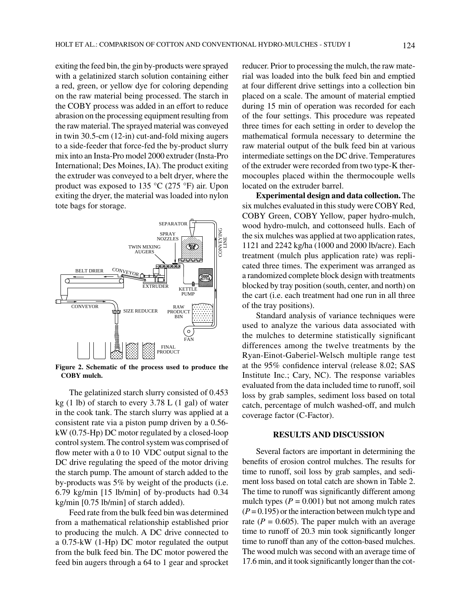exiting the feed bin, the gin by-products were sprayed with a gelatinized starch solution containing either a red, green, or yellow dye for coloring depending on the raw material being processed. The starch in the COBY process was added in an effort to reduce abrasion on the processing equipment resulting from the raw material. The sprayed material was conveyed in twin 30.5-cm (12-in) cut-and-fold mixing augers to a side-feeder that force-fed the by-product slurry mix into an Insta-Pro model 2000 extruder (Insta-Pro International; Des Moines, IA). The product exiting the extruder was conveyed to a belt dryer, where the product was exposed to 135 °C (275 °F) air. Upon exiting the dryer, the material was loaded into nylon tote bags for storage.



**Figure 2. Schematic of the process used to produce the COBY mulch.**

The gelatinized starch slurry consisted of 0.453 kg  $(1 \text{ lb})$  of starch to every 3.78 L  $(1 \text{ gal})$  of water in the cook tank. The starch slurry was applied at a consistent rate via a piston pump driven by a 0.56 kW (0.75-Hp) DC motor regulated by a closed-loop control system. The control system was comprised of flow meter with a 0 to 10 VDC output signal to the DC drive regulating the speed of the motor driving the starch pump. The amount of starch added to the by-products was 5% by weight of the products (i.e. 6.79 kg/min [15 lb/min] of by-products had 0.34 kg/min [0.75 lb/min] of starch added).

Feed rate from the bulk feed bin was determined from a mathematical relationship established prior to producing the mulch. A DC drive connected to a 0.75-kW (1-Hp) DC motor regulated the output from the bulk feed bin. The DC motor powered the feed bin augers through a 64 to 1 gear and sprocket reducer. Prior to processing the mulch, the raw material was loaded into the bulk feed bin and emptied at four different drive settings into a collection bin placed on a scale. The amount of material emptied during 15 min of operation was recorded for each of the four settings. This procedure was repeated three times for each setting in order to develop the mathematical formula necessary to determine the raw material output of the bulk feed bin at various intermediate settings on the DC drive. Temperatures of the extruder were recorded from two type-K thermocouples placed within the thermocouple wells located on the extruder barrel.

**Experimental design and data collection.** The six mulches evaluated in this study were COBY Red, COBY Green, COBY Yellow, paper hydro-mulch, wood hydro-mulch, and cottonseed hulls. Each of the six mulches was applied at two application rates, 1121 and 2242 kg/ha (1000 and 2000 lb/acre). Each treatment (mulch plus application rate) was replicated three times. The experiment was arranged as a randomized complete block design with treatments blocked by tray position (south, center, and north) on the cart (i.e. each treatment had one run in all three of the tray positions).

Standard analysis of variance techniques were used to analyze the various data associated with the mulches to determine statistically significant differences among the twelve treatments by the Ryan-Einot-Gaberiel-Welsch multiple range test at the 95% confidence interval (release 8.02; SAS Institute Inc.; Cary, NC). The response variables evaluated from the data included time to runoff, soil loss by grab samples, sediment loss based on total catch, percentage of mulch washed-off, and mulch coverage factor (C-Factor).

# **RESULTS AND DISCUSSION**

Several factors are important in determining the benefits of erosion control mulches. The results for time to runoff, soil loss by grab samples, and sediment loss based on total catch are shown in Table 2. The time to runoff was significantly different among mulch types  $(P = 0.001)$  but not among mulch rates  $(P = 0.195)$  or the interaction between mulch type and rate  $(P = 0.605)$ . The paper mulch with an average time to runoff of 20.3 min took significantly longer time to runoff than any of the cotton-based mulches. The wood mulch was second with an average time of 17.6 min, and it took significantly longer than the cot-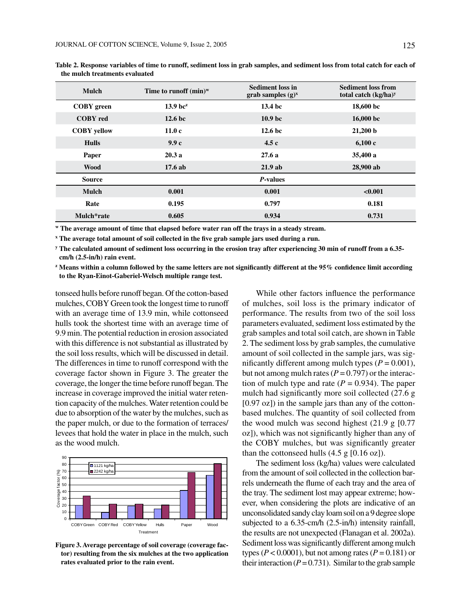| Mulch              | Time to runoff $(min)^w$ | <b>Sediment loss in</b><br>grab samples $(g)^x$ | <b>Sediment loss from</b><br>total catch $(kg/ha)^y$ |  |
|--------------------|--------------------------|-------------------------------------------------|------------------------------------------------------|--|
| <b>COBY</b> green  | $13.9$ bc <sup>z</sup>   | 13.4 <sub>bc</sub>                              | 18,600 bc                                            |  |
| <b>COBY</b> red    | 12.6 <sub>b</sub>        | 10.9 <sub>bc</sub>                              | $16,000$ bc                                          |  |
| <b>COBY</b> yellow | 11.0c                    | 12.6 <sub>b</sub>                               | 21,200 b                                             |  |
| <b>Hulls</b>       | 9.9c                     | 4.5c                                            | 6,100c                                               |  |
| Paper              | 20.3a                    | 27.6a                                           | 35,400 a                                             |  |
| <b>Wood</b>        | 17.6ab                   | 21.9ab                                          | 28,900 ab                                            |  |
| <b>Source</b>      |                          | <i>P</i> -values                                |                                                      |  |
| <b>Mulch</b>       | 0.001                    | 0.001                                           | < 0.001                                              |  |
| Rate               | 0.195                    | 0.797                                           | 0.181                                                |  |
| Mulch*rate         | 0.605                    | 0.934                                           | 0.731                                                |  |

**Table 2. Response variables of time to runoff, sediment loss in grab samples, and sediment loss from total catch for each of the mulch treatments evaluated**

**w The average amount of time that elapsed before water ran off the trays in a steady stream.**

**x The average total amount of soil collected in the five grab sample jars used during a run.**

**y The calculated amount of sediment loss occurring in the erosion tray after experiencing 30 min of runoff from a 6.35 cm/h (2.5-in/h) rain event.**

**z Means within a column followed by the same letters are not significantly different at the 95% confidence limit according to the Ryan-Einot-Gaberiel-Welsch multiple range test.**

tonseed hulls before runoff began. Of the cotton-based mulches, COBY Green took the longest time to runoff with an average time of 13.9 min, while cottonseed hulls took the shortest time with an average time of 9.9 min. The potential reduction in erosion associated with this difference is not substantial as illustrated by the soil loss results, which will be discussed in detail. The differences in time to runoff correspond with the coverage factor shown in Figure 3. The greater the coverage, the longer the time before runoff began. The increase in coverage improved the initial water retention capacity of the mulches. Water retention could be due to absorption of the water by the mulches, such as the paper mulch, or due to the formation of terraces/ levees that hold the water in place in the mulch, such as the wood mulch.



**Figure 3. Average percentage of soil coverage (coverage factor) resulting from the six mulches at the two application rates evaluated prior to the rain event.**

While other factors influence the performance of mulches, soil loss is the primary indicator of performance. The results from two of the soil loss parameters evaluated, sediment loss estimated by the grab samples and total soil catch, are shown in Table 2. The sediment loss by grab samples, the cumulative amount of soil collected in the sample jars, was significantly different among mulch types  $(P = 0.001)$ , but not among mulch rates ( $P = 0.797$ ) or the interaction of mulch type and rate  $(P = 0.934)$ . The paper mulch had significantly more soil collected (27.6 g [0.97 oz]) in the sample jars than any of the cottonbased mulches. The quantity of soil collected from the wood mulch was second highest  $(21.9 \text{ g } [0.77$ oz]), which was not significantly higher than any of the COBY mulches, but was significantly greater than the cottonseed hulls  $(4.5 \text{ g } [0.16 \text{ oz}])$ .

The sediment loss (kg/ha) values were calculated from the amount of soil collected in the collection barrels underneath the flume of each tray and the area of the tray. The sediment lost may appear extreme; however, when considering the plots are indicative of an unconsolidated sandy clay loam soil on a 9 degree slope subjected to a 6.35-cm/h (2.5-in/h) intensity rainfall, the results are not unexpected (Flanagan et al. 2002a). Sediment loss was significantly different among mulch types ( $P < 0.0001$ ), but not among rates ( $P = 0.181$ ) or their interaction  $(P = 0.731)$ . Similar to the grab sample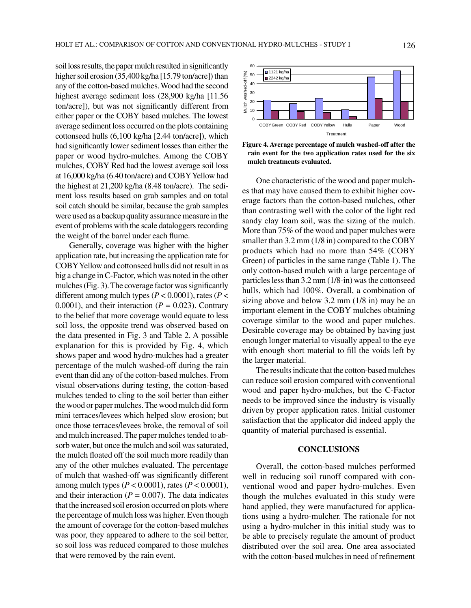soil loss results, the paper mulch resulted in significantly higher soil erosion (35,400 kg/ha [15.79 ton/acre]) than any of the cotton-based mulches. Wood had the second highest average sediment loss (28,900 kg/ha [11.56 ton/acre]), but was not significantly different from either paper or the COBY based mulches. The lowest average sediment loss occurred on the plots containing cottonseed hulls (6,100 kg/ha [2.44 ton/acre]), which had significantly lower sediment losses than either the paper or wood hydro-mulches. Among the COBY mulches, COBY Red had the lowest average soil loss at 16,000 kg/ha (6.40 ton/acre) and COBY Yellow had the highest at 21,200 kg/ha (8.48 ton/acre). The sediment loss results based on grab samples and on total soil catch should be similar, because the grab samples were used as a backup quality assurance measure in the event of problems with the scale dataloggers recording the weight of the barrel under each flume.

Generally, coverage was higher with the higher application rate, but increasing the application rate for COBY Yellow and cottonseed hulls did not result in as big a change in C-Factor, which was noted in the other mulches (Fig. 3). The coverage factor was significantly different among mulch types (*P* < 0.0001), rates (*P* < 0.0001), and their interaction  $(P = 0.023)$ . Contrary to the belief that more coverage would equate to less soil loss, the opposite trend was observed based on the data presented in Fig. 3 and Table 2. A possible explanation for this is provided by Fig. 4, which shows paper and wood hydro-mulches had a greater percentage of the mulch washed-off during the rain event than did any of the cotton-based mulches. From visual observations during testing, the cotton-based mulches tended to cling to the soil better than either the wood or paper mulches. The wood mulch did form mini terraces/levees which helped slow erosion; but once those terraces/levees broke, the removal of soil and mulch increased. The paper mulches tended to absorb water, but once the mulch and soil was saturated, the mulch floated off the soil much more readily than any of the other mulches evaluated. The percentage of mulch that washed-off was significantly different among mulch types (*P* < 0.0001), rates (*P* < 0.0001), and their interaction ( $P = 0.007$ ). The data indicates that the increased soil erosion occurred on plots where the percentage of mulch loss was higher. Even though the amount of coverage for the cotton-based mulches was poor, they appeared to adhere to the soil better, so soil loss was reduced compared to those mulches that were removed by the rain event.



**Figure 4. Average percentage of mulch washed-off after the rain event for the two application rates used for the six mulch treatments evaluated.**

One characteristic of the wood and paper mulches that may have caused them to exhibit higher coverage factors than the cotton-based mulches, other than contrasting well with the color of the light red sandy clay loam soil, was the sizing of the mulch. More than 75% of the wood and paper mulches were smaller than 3.2 mm (1/8 in) compared to the COBY products which had no more than 54% (COBY Green) of particles in the same range (Table 1). The only cotton-based mulch with a large percentage of particles less than 3.2 mm (1/8-in) was the cottonseed hulls, which had 100%. Overall, a combination of sizing above and below 3.2 mm (1/8 in) may be an important element in the COBY mulches obtaining coverage similar to the wood and paper mulches. Desirable coverage may be obtained by having just enough longer material to visually appeal to the eye with enough short material to fill the voids left by the larger material.

The results indicate that the cotton-based mulches can reduce soil erosion compared with conventional wood and paper hydro-mulches, but the C-Factor needs to be improved since the industry is visually driven by proper application rates. Initial customer satisfaction that the applicator did indeed apply the quantity of material purchased is essential.

# **CONCLUSIONS**

Overall, the cotton-based mulches performed well in reducing soil runoff compared with conventional wood and paper hydro-mulches. Even though the mulches evaluated in this study were hand applied, they were manufactured for applications using a hydro-mulcher. The rationale for not using a hydro-mulcher in this initial study was to be able to precisely regulate the amount of product distributed over the soil area. One area associated with the cotton-based mulches in need of refinement